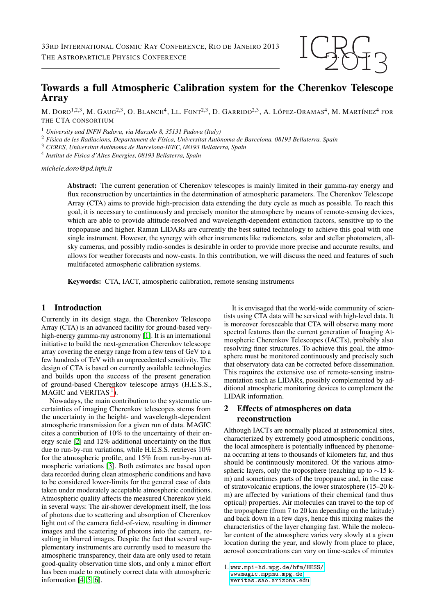# Towards a full Atmospheric Calibration system for the Cherenkov Telescope Array

M. DORO<sup>1,2,3</sup>, M. Gaug<sup>2,3</sup>, O. Blanch<sup>4</sup>, Ll. Font<sup>2,3</sup>, D. Garrido<sup>2,3</sup>, A. López-Oramas<sup>4</sup>, M. Martínez<sup>4</sup> for THE CTA CONSORTIUM

<sup>1</sup> *University and INFN Padova, via Marzolo 8, 35131 Padova (Italy)*

<sup>2</sup> *F´ısica de les Radiacions, Departament de F´ısica, Universitat Autonoma de Barcelona, 08193 Bellaterra, Spain `*

<sup>3</sup> *CERES, Universitat Autonoma de Barcelona-IEEC, 08193 Bellaterra, Spain `*

<sup>4</sup> Institut de Fisìca d'Altes Energies, 08193 Bellaterra, Spain

*michele.doro@pd.infn.it*

Abstract: The current generation of Cherenkov telescopes is mainly limited in their gamma-ray energy and flux reconstruction by uncertainties in the determination of atmospheric parameters. The Cherenkov Telescope Array (CTA) aims to provide high-precision data extending the duty cycle as much as possible. To reach this goal, it is necessary to continuously and precisely monitor the atmosphere by means of remote-sensing devices, which are able to provide altitude-resolved and wavelength-dependent extinction factors, sensitive up to the tropopause and higher. Raman LIDARs are currently the best suited technology to achieve this goal with one single instrument. However, the synergy with other instruments like radiometers, solar and stellar photometers, allsky cameras, and possibly radio-sondes is desirable in order to provide more precise and accurate results, and allows for weather forecasts and now-casts. In this contribution, we will discuss the need and features of such multifaceted atmospheric calibration systems.

Keywords: CTA, IACT, atmospheric calibration, remote sensing instruments

## 1 Introduction

Currently in its design stage, the Cherenkov Telescope Array (CTA) is an advanced facility for ground-based very-high-energy gamma-ray astronomy [\[1\]](#page-3-0). It is an international initiative to build the next-generation Cherenkov telescope array covering the energy range from a few tens of GeV to a few hundreds of TeV with an unprecedented sensitivity. The design of CTA is based on currently available technologies and builds upon the success of the present generation of ground-based Cherenkov telescope arrays (H.E.S.S.,  $MAGIC$  and VERITAS<sup>[1](#page-0-0)</sup>).

Nowadays, the main contribution to the systematic uncertainties of imaging Cherenkov telescopes stems from the uncertainty in the height- and wavelength-dependent atmospheric transmission for a given run of data. MAGIC cites a contribution of 10% to the uncertainty of their energy scale [\[2\]](#page-3-1) and 12% additional uncertainty on the flux due to run-by-run variations, while H.E.S.S. retrieves 10% for the atmospheric profile, and 15% from run-by-run atmospheric variations [\[3\]](#page-3-2). Both estimates are based upon data recorded during clean atmospheric conditions and have to be considered lower-limits for the general case of data taken under moderately acceptable atmospheric conditions. Atmospheric quality affects the measured Cherenkov yield in several ways: The air-shower development itself, the loss of photons due to scattering and absorption of Cherenkov light out of the camera field-of-view, resulting in dimmer images and the scattering of photons into the camera, resulting in blurred images. Despite the fact that several supplementary instruments are currently used to measure the atmospheric transparency, their data are only used to retain good-quality observation time slots, and only a minor effort has been made to routinely correct data with atmospheric information [\[4,](#page-3-3) [5,](#page-3-4) [6\]](#page-3-5).

It is envisaged that the world-wide community of scientists using CTA data will be serviced with high-level data. It is moreover foreseeable that CTA will observe many more spectral features than the current generation of Imaging Atmospheric Cherenkov Telescopes (IACTs), probably also resolving finer structures. To achieve this goal, the atmosphere must be monitored continuously and precisely such that observatory data can be corrected before dissemination. This requires the extensive use of remote-sensing instrumentation such as LIDARs, possibly complemented by additional atmospheric monitoring devices to complement the LIDAR information.

# 2 Effects of atmospheres on data reconstruction

Although IACTs are normally placed at astronomical sites, characterized by extremely good atmospheric conditions, the local atmosphere is potentially influenced by phenomena occurring at tens to thousands of kilometers far, and thus should be continuously monitored. Of the various atmospheric layers, only the troposphere (reaching up to ∼15 km) and sometimes parts of the tropopause and, in the case of stratovolcanic eruptions, the lower stratosphere (15–20 km) are affected by variations of their chemical (and thus optical) properties. Air molecules can travel to the top of the troposphere (from 7 to 20 km depending on the latitude) and back down in a few days, hence this mixing makes the characteristics of the layer changing fast. While the molecular content of the atmosphere varies very slowly at a given location during the year, and slowly from place to place, aerosol concentrations can vary on time-scales of minutes

<span id="page-0-0"></span><sup>1.</sup> <www.mpi-hd.mpg.de/hfm/HESS/>, [wwwmagic.mppmu.mpg.de](wwwmagic. mppmu.mpg.de), <veritas.sao.arizona.edu>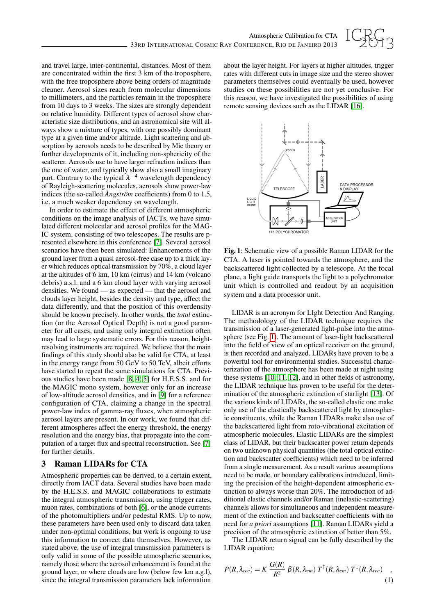

and travel large, inter-continental, distances. Most of them are concentrated within the first 3 km of the troposphere, with the free troposphere above being orders of magnitude cleaner. Aerosol sizes reach from molecular dimensions to millimeters, and the particles remain in the troposphere from 10 days to 3 weeks. The sizes are strongly dependent on relative humidity. Different types of aerosol show characteristic size distributions, and an astronomical site will always show a mixture of types, with one possibly dominant type at a given time and/or altitude. Light scattering and absorption by aerosols needs to be described by Mie theory or further developments of it, including non-sphericity of the scatterer. Aerosols use to have larger refraction indices than the one of water, and typically show also a small imaginary part. Contrary to the typical  $\lambda^{-4}$  wavelength dependency of Rayleigh-scattering molecules, aerosols show power-law indices (the so-called *Angström* coefficients) from 0 to 1.5, i.e. a much weaker dependency on wavelength.

In order to estimate the effect of different atmospheric conditions on the image analysis of IACTs, we have simulated different molecular and aerosol profiles for the MAG-IC system, consisting of two telescopes. The results are presented elsewhere in this conference [\[7\]](#page-3-6). Several aerosol scenarios have then been simulated: Enhancements of the ground layer from a quasi aerosol-free case up to a thick layer which reduces optical transmission by 70%, a cloud layer at the altitudes of 6 km, 10 km (cirrus) and 14 km (volcano debris) a.s.l. and a 6 km cloud layer with varying aerosol densities. We found — as expected — that the aerosol and clouds layer height, besides the density and type, affect the data differently, and that the position of this overdensity should be known precisely. In other words, the *total* extinction (or the Aerosol Optical Depth) is not a good parameter for all cases, and using only integral extinction often may lead to large systematic errors. For this reason, heightresolving instruments are required. We believe that the main findings of this study should also be valid for CTA, at least in the energy range from 50 GeV to 50 TeV, albeit efforts have started to repeat the same simulations for CTA. Previous studies have been made [\[8,](#page-3-7) [4,](#page-3-3) [5\]](#page-3-4) for H.E.S.S. and for the MAGIC mono system, however only for an increase of low-altitude aerosol densities, and in [\[9\]](#page-3-8) for a reference configuration of CTA, claiming a change in the spectral power-law index of gamma-ray fluxes, when atmospheric aerosol layers are present. In our work, we found that different atmospheres affect the energy threshold, the energy resolution and the energy bias, that propagate into the computation of a target flux and spectral reconstruction. See [\[7\]](#page-3-6) for further details.

#### 3 Raman LIDARs for CTA

Atmospheric properties can be derived, to a certain extent, directly from IACT data. Several studies have been made by the H.E.S.S. and MAGIC collaborations to estimate the integral atmospheric transmission, using trigger rates, muon rates, combinations of both [\[6\]](#page-3-5), or the anode currents of the photomultipliers and/or pedestal RMS. Up to now, these parameters have been used only to discard data taken under non-optimal conditions, but work is ongoing to use this information to correct data themselves. However, as stated above, the use of integral transmission parameters is only valid in some of the possible atmospheric scenarios, namely those where the aerosol enhancement is found at the ground layer, or where clouds are low (below few km a.g.l), since the integral transmission parameters lack information

about the layer height. For layers at higher altitudes, trigger rates with different cuts in image size and the stereo shower parameters themselves could eventually be used, however studies on these possibilities are not yet conclusive. For this reason, we have investigated the possibilities of using remote sensing devices such as the LIDAR [\[16\]](#page-3-9).



<span id="page-1-0"></span>Fig. 1: Schematic view of a possible Raman LIDAR for the CTA. A laser is pointed towards the atmosphere, and the backscattered light collected by a telescope. At the focal plane, a light guide transports the light to a polychromator unit which is controlled and readout by an acquisition system and a data processor unit.

LIDAR is an acronym for LIght Detection And Ranging. The methodology of the LIDAR technique requires the transmission of a laser-generated light-pulse into the atmosphere (see Fig. [1\)](#page-1-0). The amount of laser-light backscattered into the field of view of an optical receiver on the ground, is then recorded and analyzed. LIDARs have proven to be a powerful tool for environmental studies. Successful characterization of the atmosphere has been made at night using these systems [\[10,](#page-3-10) [11,](#page-3-11) [12\]](#page-3-12), and in other fields of astronomy, the LIDAR technique has proven to be useful for the determination of the atmospheric extinction of starlight [\[13\]](#page-3-13). Of the various kinds of LIDARs, the so-called elastic one make only use of the elastically backscattered light by atmospheric constituents, while the Raman LIDARs make also use of the backscattered light from roto-vibrational excitation of atmospheric molecules. Elastic LIDARs are the simplest class of LIDAR, but their backscatter power return depends on two unknown physical quantities (the total optical extinction and backscatter coefficients) which need to be inferred from a single measurement. As a result various assumptions need to be made, or boundary calibrations introduced, limiting the precision of the height-dependent atmospheric extinction to always worse than 20%. The introduction of additional elastic channels and/or Raman (inelastic-scattering) channels allows for simultaneous and independent measurement of the extinction and backscatter coefficients with no need for *a priori* assumptions [\[11\]](#page-3-11). Raman LIDARs yield a precision of the atmospheric extinction of better than 5%.

The LIDAR return signal can be fully described by the LIDAR equation:

$$
P(R, \lambda_{rec}) = K \frac{G(R)}{R^2} \beta(R, \lambda_{em}) T^{\uparrow}(R, \lambda_{em}) T^{\downarrow}(R, \lambda_{rec}) \quad , \tag{1}
$$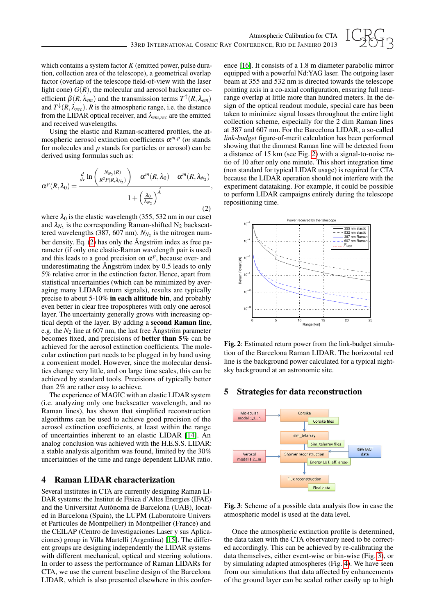

which contains a system factor *K* (emitted power, pulse duration, collection area of the telescope), a geometrical overlap factor (overlap of the telescope field-of-view with the laser light cone)  $G(R)$ , the molecular and aerosol backscatter coefficient  $\beta(R, \lambda_{em})$  and the transmission terms  $T^{\uparrow}(R, \lambda_{em})$ and  $T^{\downarrow}(R, \lambda_{rec})$ . *R* is the atmospheric range, i.e. the distance from the LIDAR optical receiver, and λ*em*,*rec* are the emitted and received wavelengths.

Using the elastic and Raman-scattered profiles, the atmospheric aerosol extinction coefficients  $\alpha^{m,p}$  (*m* stands for molecules and *p* stands for particles or aerosol) can be derived using formulas such as:

<span id="page-2-0"></span>
$$
\alpha^{p}(R,\lambda_{0}) = \frac{\frac{d}{dr}\ln\left(\frac{N_{N_{2}}(R)}{R^{2}P(R,\lambda_{N_{2}})}\right) - \alpha^{m}(R,\lambda_{0}) - \alpha^{m}(R,\lambda_{N_{2}})}{1 + \left(\frac{\lambda_{0}}{\lambda_{N_{2}}}\right)^{\stackrel{\circ}{A}}},
$$
\n(2)

where  $\lambda_0$  is the elastic wavelength (355, 532 nm in our case) and  $\lambda_{N_2}$  is the corresponding Raman-shifted N<sub>2</sub> backscattered wavelengths  $(387, 607 \text{ nm})$ .  $N_{N_2}$  is the nitrogen number density. Eq.  $(2)$  has only the Ångström index as free parameter (if only one elastic-Raman wavelength pair is used) and this leads to a good precision on  $\alpha^p$ , because over- and underestimating the  $\AA$ ngström index by 0.5 leads to only 5% relative error in the extinction factor. Hence, apart from statistical uncertainties (which can be minimized by averaging many LIDAR return signals), results are typically precise to about 5-10% in each altitude bin, and probably even better in clear free tropospheres with only one aerosol layer. The uncertainty generally grows with increasing optical depth of the layer. By adding a second Raman line, e.g. the  $N_2$  line at 607 nm, the last free Ångström parameter becomes fixed, and precisions of better than 5% can be achieved for the aerosol extinction coefficients. The molecular extinction part needs to be plugged in by hand using a convenient model. However, since the molecular densities change very little, and on large time scales, this can be achieved by standard tools. Precisions of typically better than 2% are rather easy to achieve.

The experience of MAGIC with an elastic LIDAR system (i.e. analyzing only one backscatter wavelength, and no Raman lines), has shown that simplified reconstruction algorithms can be used to achieve good precision of the aerosol extinction coefficients, at least within the range of uncertainties inherent to an elastic LIDAR [\[14\]](#page-3-14). An analog conclusion was achieved with the H.E.S.S. LIDAR: a stable analysis algorithm was found, limited by the 30% uncertainties of the time and range dependent LIDAR ratio.

#### 4 Raman LIDAR characterization

Several institutes in CTA are currently designing Raman LI-DAR systems: the Institut de Fisica d'Altes Energies (IFAE) and the Universitat Autònoma de Barcelona (UAB), located in Barcelona (Spain), the LUPM (Laboratoire Univers et Particules de Montpellier) in Montpellier (France) and the CEILAP (Centro de Investigaciones Laser y sus Aplicaciones) group in Villa Martelli (Argentina) [\[15\]](#page-3-15). The different groups are designing independently the LIDAR systems with different mechanical, optical and steering solutions. In order to assess the performance of Raman LIDARs for CTA, we use the current baseline design of the Barcelona LIDAR, which is also presented elsewhere in this conference [\[16\]](#page-3-9). It consists of a 1.8 m diameter parabolic mirror equipped with a powerful Nd:YAG laser. The outgoing laser beam at 355 and 532 nm is directed towards the telescope pointing axis in a co-axial configuration, ensuring full nearrange overlap at little more than hundred meters. In the design of the optical readout module, special care has been taken to minimize signal losses throughout the entire light collection scheme, especially for the 2 dim Raman lines at 387 and 607 nm. For the Barcelona LIDAR, a so-called *link-budget* figure-of-merit calculation has been performed showing that the dimmest Raman line will be detected from a distance of 15 km (see Fig. [2\)](#page-2-1) with a signal-to-noise ratio of 10 after only one minute. This short integration time (non standard for typical LIDAR usage) is required for CTA because the LIDAR operation should not interfere with the experiment datataking. For example, it could be possible to perform LIDAR campaigns entirely during the telescope repositioning time.



<span id="page-2-1"></span>Fig. 2: Estimated return power from the link-budget simulation of the Barcelona Raman LIDAR. The horizontal red line is the background power calculated for a typical nightsky background at an astronomic site.

# 5 Strategies for data reconstruction



<span id="page-2-2"></span>Fig. 3: Scheme of a possible data analysis flow in case the atmospheric model is used at the data level.

Once the atmospheric extinction profile is determined, the data taken with the CTA observatory need to be corrected accordingly. This can be achieved by re-calibrating the data themselves, either event-wise or bin-wise (Fig. [3\)](#page-2-2), or by simulating adapted atmospheres (Fig. [4\)](#page-3-16). We have seen from our simulations that data affected by enhancements of the ground layer can be scaled rather easily up to high